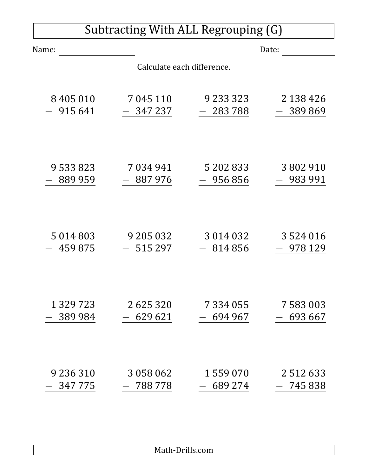| Subtracting With ALL Regrouping (G) |           |               |               |  |  |
|-------------------------------------|-----------|---------------|---------------|--|--|
| Name:                               |           | Date:         |               |  |  |
| Calculate each difference.          |           |               |               |  |  |
| 8405010                             | 7 045 110 | 9 2 3 3 3 2 3 | 2 138 426     |  |  |
| 915 641                             | 347 237   | $-283788$     | 389869        |  |  |
| 9 533 823                           | 7034941   | 5 202 833     | 3802910       |  |  |
| 889 959                             | 887976    | $-956856$     | 983 991       |  |  |
| 5 0 1 4 8 0 3                       | 9 205 032 | 3 0 1 4 0 3 2 | 3524016       |  |  |
| 459875                              | 515 297   | 814 856       | 978 129       |  |  |
| 1 3 2 9 7 2 3                       | 2625320   | 7 334 055     | 7 583 003     |  |  |
| 389 984                             | 629 621   | 694 967       | 693 667       |  |  |
| 9 2 3 6 3 1 0                       | 3 058 062 | 1559070       | 2 5 1 2 6 3 3 |  |  |
| 347775                              | 788778    | 689 274       | 745 838       |  |  |